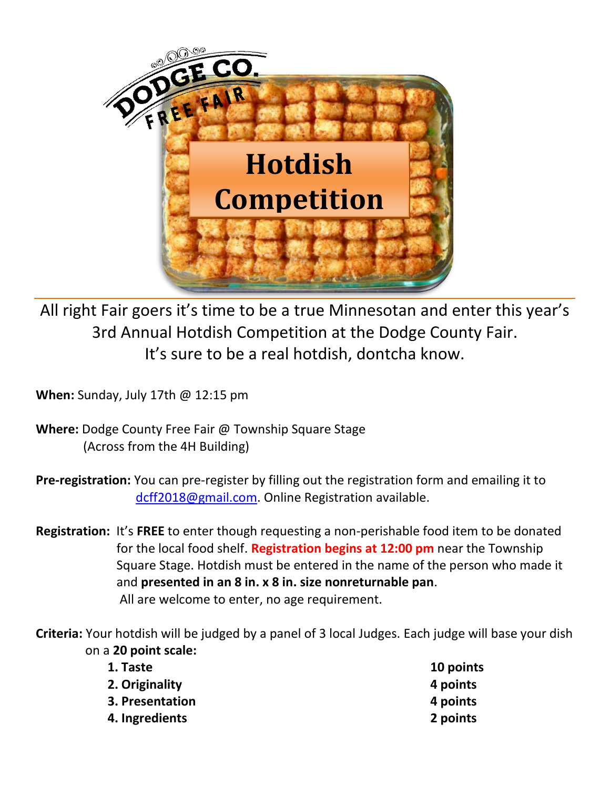

All right Fair goers it's time to be a true Minnesotan and enter this year's 3rd Annual Hotdish Competition at the Dodge County Fair. It's sure to be a real hotdish, dontcha know.

**When:** Sunday, July 17th @ 12:15 pm

**Where:** Dodge County Free Fair @ Township Square Stage (Across from the 4H Building)

**Pre-registration:** You can pre-register by filling out the registration form and emailing it to [dcff2018@gmail.com.](mailto:dcff2018@gmail.com) Online Registration available.

**Registration:** It's **FREE** to enter though requesting a non-perishable food item to be donated for the local food shelf. **Registration begins at 12:00 pm** near the Township Square Stage. Hotdish must be entered in the name of the person who made it and **presented in an 8 in. x 8 in. size nonreturnable pan**. All are welcome to enter, no age requirement.

**Criteria:** Your hotdish will be judged by a panel of 3 local Judges. Each judge will base your dish on a **20 point scale:**

| 10 points |
|-----------|
| 4 points  |
| 4 points  |
| 2 points  |
|           |